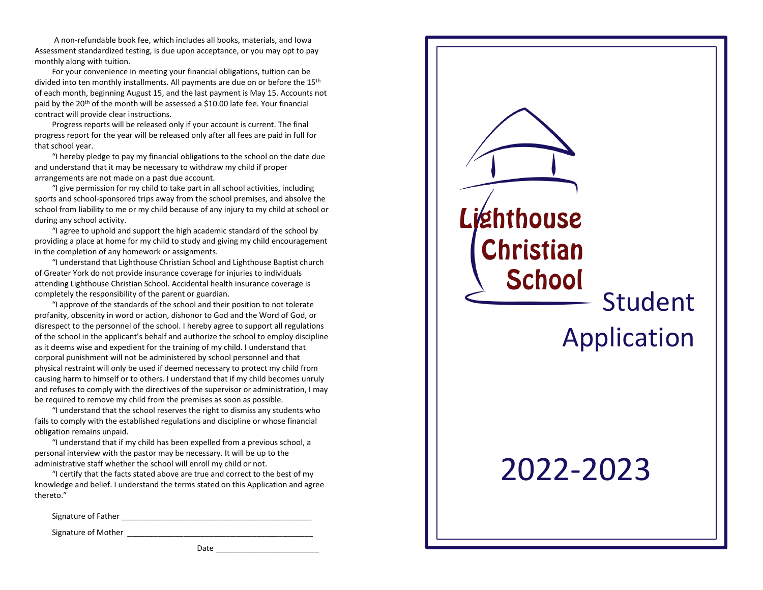A non-refundable book fee, which includes all books, materials, and Iowa Assessment standardized testing, is due upon acceptance, or you may opt to pay monthly along with tuition.

For your convenience in meeting your financial obligations, tuition can be divided into ten monthly installments. All payments are due on or before the 15<sup>th</sup> of each month, beginning August 15, and the last payment is May 15. Accounts not paid by the 20<sup>th</sup> of the month will be assessed a \$10.00 late fee. Your financial contract will provide clear instructions.

Progress reports will be released only if your account is current. The final progress report for the year will be released only after all fees are paid in full for that school year.

"I hereby pledge to pay my financial obligations to the school on the date due and understand that it may be necessary to withdraw my child if proper arrangements are not made on a past due account.

"I give permission for my child to take part in all school activities, including sports and school-sponsored trips away from the school premises, and absolve the school from liability to me or my child because of any injury to my child at school or during any school activity.

"I agree to uphold and support the high academic standard of the school by providing a place at home for my child to study and giving my child encouragement in the completion of any homework or assignments.

"I understand that Lighthouse Christian School and Lighthouse Baptist church of Greater York do not provide insurance coverage for injuries to individuals attending Lighthouse Christian School. Accidental health insurance coverage is completely the responsibility of the parent or guardian.

"I approve of the standards of the school and their position to not tolerate profanity, obscenity in word or action, dishonor to God and the Word of God, or disrespect to the personnel of the school. I hereby agree to support all regulations of the school in the applicant's behalf and authorize the school to employ discipline as it deems wise and expedient for the training of my child. I understand that corporal punishment will not be administered by school personnel and that physical restraint will only be used if deemed necessary to protect my child from causing harm to himself or to others. I understand that if my child becomes unruly and refuses to comply with the directives of the supervisor or administration, I may be required to remove my child from the premises as soon as possible.

"I understand that the school reserves the right to dismiss any students who fails to comply with the established regulations and discipline or whose financial obligation remains unpaid.

"I understand that if my child has been expelled from a previous school, a personal interview with the pastor may be necessary. It will be up to the administrative staff whether the school will enroll my child or not.

"I certify that the facts stated above are true and correct to the best of my knowledge and belief. I understand the terms stated on this Application and agree thereto."

Signature of Father \_\_\_\_\_\_\_\_\_\_\_\_\_\_\_\_\_\_\_\_\_\_\_\_\_\_\_\_\_\_\_\_\_\_\_\_\_\_\_\_\_\_\_\_

Signature of Mother \_\_\_\_\_\_\_\_\_\_\_\_\_\_\_\_\_\_\_\_\_\_\_\_\_\_\_\_\_\_\_\_\_\_\_\_\_\_\_\_\_\_\_

Date \_\_\_\_\_\_\_\_\_\_\_\_\_\_\_\_\_\_\_\_\_\_\_\_